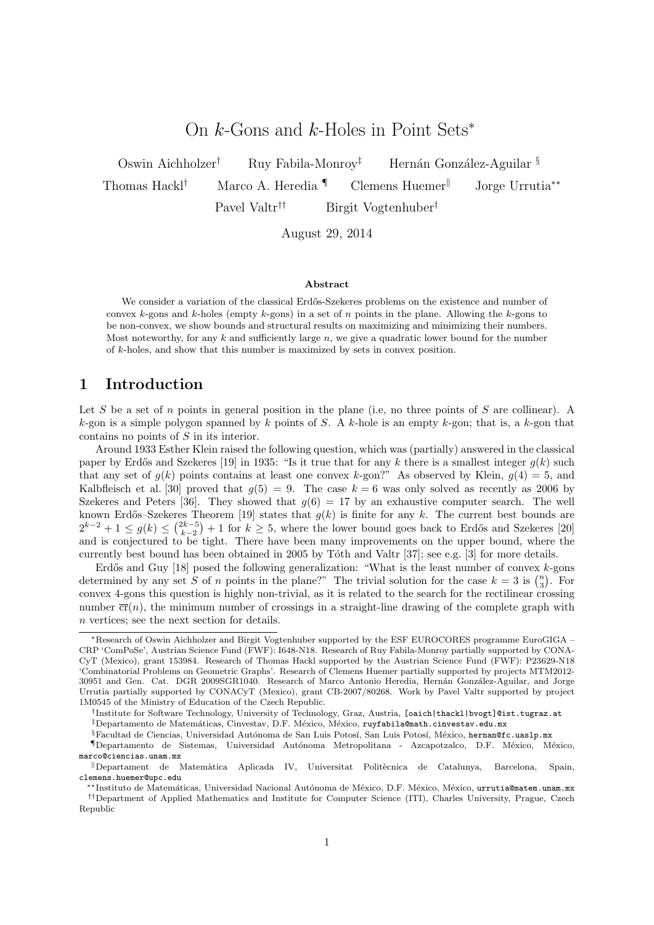# On  $k$ -Gons and  $k$ -Holes in Point Sets<sup>\*</sup>

Oswin Aichholzer<sup>†</sup> Ruy Fabila-Monroy<sup>‡</sup> Hernán González-Aguilar § Thomas Hackl<sup>†</sup> Marco A. Heredia  $\P$  Clemens Huemer<sup> $\parallel$ </sup> Jorge Urrutia<sup>\*\*</sup> Pavel Valtr<sup>††</sup> Birgit Vogtenhuber<sup>†</sup>

August 29, 2014

#### Abstract

We consider a variation of the classical Erdős-Szekeres problems on the existence and number of convex k-gons and k-holes (empty k-gons) in a set of n points in the plane. Allowing the k-gons to be non-convex, we show bounds and structural results on maximizing and minimizing their numbers. Most noteworthy, for any k and sufficiently large  $n$ , we give a quadratic lower bound for the number of k-holes, and show that this number is maximized by sets in convex position.

## 1 Introduction

Let S be a set of n points in general position in the plane (i.e, no three points of S are collinear). A k-gon is a simple polygon spanned by k points of S. A k-hole is an empty k-gon; that is, a k-gon that contains no points of S in its interior.

Around 1933 Esther Klein raised the following question, which was (partially) answered in the classical paper by Erdős and Szekeres [19] in 1935: "Is it true that for any k there is a smallest integer  $g(k)$  such that any set of  $g(k)$  points contains at least one convex k-gon?" As observed by Klein,  $g(4) = 5$ , and Kalbfleisch et al. [30] proved that  $g(5) = 9$ . The case  $k = 6$  was only solved as recently as 2006 by Szekeres and Peters [36]. They showed that  $q(6) = 17$  by an exhaustive computer search. The well known Erdős–Szekeres Theorem [19] states that  $g(k)$  is finite for any k. The current best bounds are  $2^{k-2} + 1 \le g(k) \le {2k-5 \choose k-2} + 1$  for  $k \ge 5$ , where the lower bound goes back to Erdős and Szekeres [20] and is conjectured to be tight. There have been many improvements on the upper bound, where the currently best bound has been obtained in 2005 by Tôth and Valtr  $[37]$ ; see e.g.  $[3]$  for more details.

Erdős and Guy  $[18]$  posed the following generalization: "What is the least number of convex  $k$ -gons determined by any set S of n points in the plane?" The trivial solution for the case  $k = 3$  is  $\binom{n}{3}$ . For convex 4-gons this question is highly non-trivial, as it is related to the search for the rectilinear crossing number  $\overline{cr}(n)$ , the minimum number of crossings in a straight-line drawing of the complete graph with n vertices; see the next section for details.

<sup>∗</sup>Research of Oswin Aichholzer and Birgit Vogtenhuber supported by the ESF EUROCORES programme EuroGIGA – CRP 'ComPoSe', Austrian Science Fund (FWF): I648-N18. Research of Ruy Fabila-Monroy partially supported by CONA-CyT (Mexico), grant 153984. Research of Thomas Hackl supported by the Austrian Science Fund (FWF): P23629-N18 'Combinatorial Problems on Geometric Graphs'. Research of Clemens Huemer partially supported by projects MTM2012- 30951 and Gen. Cat. DGR 2009SGR1040. Research of Marco Antonio Heredia, Hernán González-Aguilar, and Jorge Urrutia partially supported by CONACyT (Mexico), grant CB-2007/80268. Work by Pavel Valtr supported by project 1M0545 of the Ministry of Education of the Czech Republic.

<sup>†</sup> Institute for Software Technology, University of Technology, Graz, Austria, [oaich|thackl|bvogt]@ist.tugraz.at  $\ddagger$ Departamento de Matemáticas, Cinvestav, D.F. México, México, ruyfabila@math.cinvestav.edu.mx

<sup>§</sup>Facultad de Ciencias, Universidad Autónoma de San Luis Potosí, San Luis Potosí, México, hernan@fc.uaslp.mx

<sup>¶</sup>Departamento de Sistemas, Universidad Aut´onoma Metropolitana - Azcapotzalco, D.F. M´exico, M´exico, marco@ciencias.unam.mx

<sup>k</sup>Departament de Matem`atica Aplicada IV, Universitat Polit`ecnica de Catalunya, Barcelona, Spain, clemens.huemer@upc.edu

<sup>\*</sup>Instituto de Matemáticas, Universidad Nacional Autónoma de México, D.F. México, México, urrutia@matem.unam.mx ††Department of Applied Mathematics and Institute for Computer Science (ITI), Charles University, Prague, Czech Republic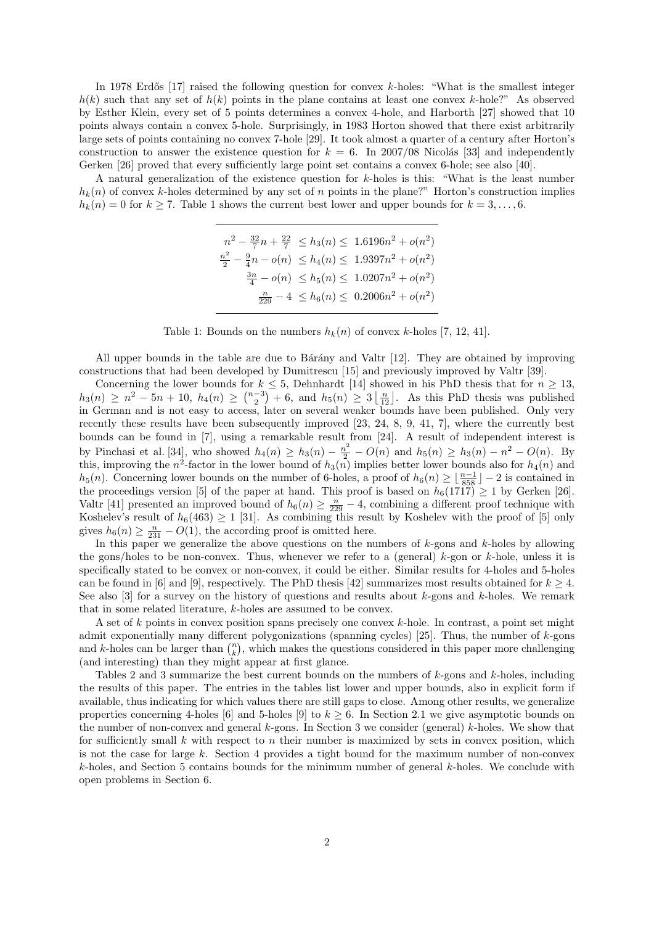In 1978 Erdős [17] raised the following question for convex  $k$ -holes: "What is the smallest integer  $h(k)$  such that any set of  $h(k)$  points in the plane contains at least one convex k-hole?" As observed by Esther Klein, every set of 5 points determines a convex 4-hole, and Harborth [27] showed that 10 points always contain a convex 5-hole. Surprisingly, in 1983 Horton showed that there exist arbitrarily large sets of points containing no convex 7-hole [29]. It took almost a quarter of a century after Horton's construction to answer the existence question for  $k = 6$ . In 2007/08 Nicolás [33] and independently Gerken [26] proved that every sufficiently large point set contains a convex 6-hole; see also [40].

A natural generalization of the existence question for k-holes is this: "What is the least number  $h_k(n)$  of convex k-holes determined by any set of n points in the plane?" Horton's construction implies  $h_k(n) = 0$  for  $k \ge 7$ . Table 1 shows the current best lower and upper bounds for  $k = 3, \ldots, 6$ .

$$
n^{2} - \frac{32}{7}n + \frac{22}{7} \leq h_{3}(n) \leq 1.6196n^{2} + o(n^{2})
$$
  

$$
\frac{n^{2}}{2} - \frac{9}{4}n - o(n) \leq h_{4}(n) \leq 1.9397n^{2} + o(n^{2})
$$
  

$$
\frac{3n}{4} - o(n) \leq h_{5}(n) \leq 1.0207n^{2} + o(n^{2})
$$
  

$$
\frac{n}{229} - 4 \leq h_{6}(n) \leq 0.2006n^{2} + o(n^{2})
$$

Table 1: Bounds on the numbers  $h_k(n)$  of convex k-holes [7, 12, 41].

All upper bounds in the table are due to Bárány and Valtr [12]. They are obtained by improving constructions that had been developed by Dumitrescu [15] and previously improved by Valtr [39].

Concerning the lower bounds for  $k \leq 5$ , Dehnhardt [14] showed in his PhD thesis that for  $n \geq 13$ ,  $h_3(n) \ge n^2 - 5n + 10$ ,  $h_4(n) \ge \binom{n-3}{2} + 6$ , and  $h_5(n) \ge 3 \lfloor \frac{n}{12} \rfloor$ . As this PhD thesis was published in German and is not easy to access, later on several weaker bounds have been published. Only very recently these results have been subsequently improved [23, 24, 8, 9, 41, 7], where the currently best bounds can be found in [7], using a remarkable result from [24]. A result of independent interest is by Pinchasi et al. [34], who showed  $h_4(n) \ge h_3(n) - \frac{n^2}{2} - O(n)$  and  $h_5(n) \ge h_3(n) - n^2 - O(n)$ . By this, improving the  $n^2$ -factor in the lower bound of  $h_3(n)$  implies better lower bounds also for  $h_4(n)$  and h<sub>5</sub>(n). Concerning lower bounds on the number of 6-holes, a proof of  $h_6(n) \geq \lfloor \frac{n-1}{858} \rfloor - 2$  is contained in the proceedings version [5] of the paper at hand. This proof is based on  $h_6(1717) \geq 1$  by Gerken [26]. Valtr [41] presented an improved bound of  $h_6(n) \geq \frac{n}{229} - 4$ , combining a different proof technique with Koshelev's result of  $h_6(463) \geq 1$  [31]. As combining this result by Koshelev with the proof of [5] only gives  $h_6(n) \geq \frac{n}{231} - O(1)$ , the according proof is omitted here.

In this paper we generalize the above questions on the numbers of k-gons and k-holes by allowing the gons/holes to be non-convex. Thus, whenever we refer to a (general)  $k$ -gon or  $k$ -hole, unless it is specifically stated to be convex or non-convex, it could be either. Similar results for 4-holes and 5-holes can be found in [6] and [9], respectively. The PhD thesis [42] summarizes most results obtained for  $k \geq 4$ . See also  $[3]$  for a survey on the history of questions and results about k-gons and k-holes. We remark that in some related literature, k-holes are assumed to be convex.

A set of k points in convex position spans precisely one convex k-hole. In contrast, a point set might admit exponentially many different polygonizations (spanning cycles) [25]. Thus, the number of  $k$ -gons and k-holes can be larger than  $\binom{n}{k}$ , which makes the questions considered in this paper more challenging (and interesting) than they might appear at first glance.

Tables 2 and 3 summarize the best current bounds on the numbers of k-gons and k-holes, including the results of this paper. The entries in the tables list lower and upper bounds, also in explicit form if available, thus indicating for which values there are still gaps to close. Among other results, we generalize properties concerning 4-holes [6] and 5-holes [9] to  $k \geq 6$ . In Section 2.1 we give asymptotic bounds on the number of non-convex and general k-gons. In Section 3 we consider (general) k-holes. We show that for sufficiently small  $k$  with respect to  $n$  their number is maximized by sets in convex position, which is not the case for large k. Section 4 provides a tight bound for the maximum number of non-convex k-holes, and Section 5 contains bounds for the minimum number of general k-holes. We conclude with open problems in Section 6.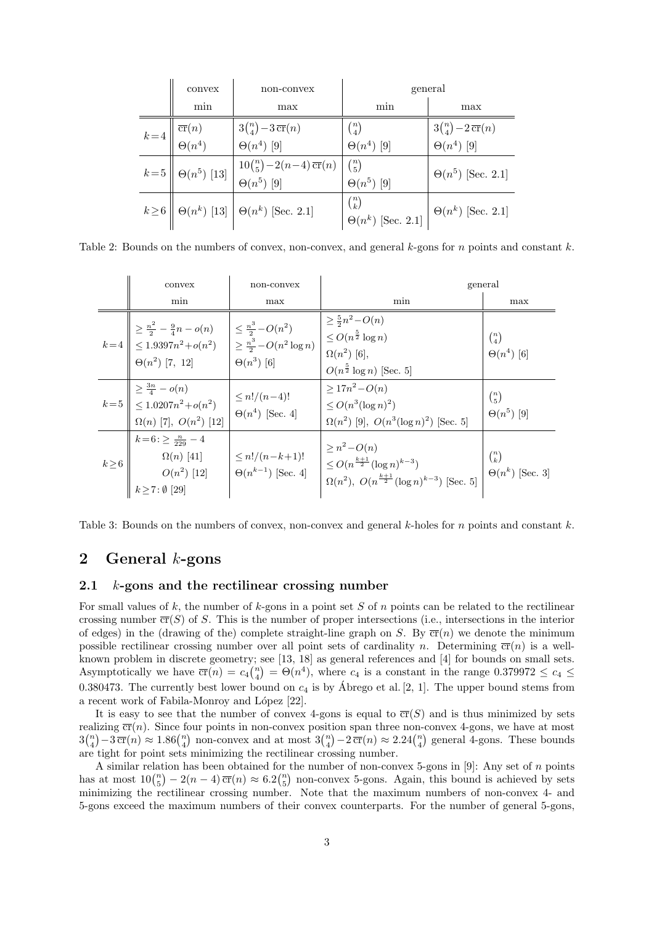|                                                                                   | convex                     | non-convex                                                                                 | general                  |                                                     |  |
|-----------------------------------------------------------------------------------|----------------------------|--------------------------------------------------------------------------------------------|--------------------------|-----------------------------------------------------|--|
|                                                                                   | min                        | max                                                                                        | min                      | max                                                 |  |
| $k=4\left \begin{array}{c}\overline{\text{cr}}(n)\ \Theta(n^4)\end{array}\right $ |                            | $3\binom{n}{4} - 3 \overline{\text{cr}}(n)$                                                | $\binom{n}{4}$           | $3\binom{n}{4} - 2 \overline{\operatorname{cr}}(n)$ |  |
|                                                                                   |                            | $\Theta(n^4)$ [9]                                                                          | $\Theta(n^4)$ [9]        | $\Theta(n^4)$ [9]                                   |  |
|                                                                                   | $k=5$   $\Theta(n^5)$ [13] | $\frac{10\binom{n}{5}-2(n-4)\overline{\operatorname{cr}}(n)}{\Theta(n^5)}$ [9] $\theta(n)$ |                          | $\Theta(n^5)$ [Sec. 2.1]                            |  |
|                                                                                   |                            |                                                                                            | $\Theta(n^5)$ [9]        |                                                     |  |
|                                                                                   |                            | $k\!\geq\!6\left\ \right. \Theta(n^k)$ [13] $\right \left. \Theta(n^k)\right.$ [Sec. 2.1]  | $\binom{n}{k}$           |                                                     |  |
|                                                                                   |                            |                                                                                            | $\Theta(n^k)$ [Sec. 2.1] | $\Theta(n^k)$ [Sec. 2.1]                            |  |

Table 2: Bounds on the numbers of convex, non-convex, and general  $k$ -gons for n points and constant k.

|            | convex                                                                                                                                                                                                                                                                  | non-convex                                             |                                                                                                                                 | general                                  |
|------------|-------------------------------------------------------------------------------------------------------------------------------------------------------------------------------------------------------------------------------------------------------------------------|--------------------------------------------------------|---------------------------------------------------------------------------------------------------------------------------------|------------------------------------------|
|            | min                                                                                                                                                                                                                                                                     | max                                                    | min                                                                                                                             | max                                      |
|            | $k=4\begin{bmatrix} \begin{array}{c} \geq \frac{n^2}{2} - \frac{9}{4}n-o(n) \\ \leq 1.9397n^2+o(n^2) \\ \Theta(n^2) \ [7,~12] \end{array} \end{bmatrix} \begin{array}{c} \leq \frac{n^3}{2}-O(n^2) \\ \geq \frac{n^3}{2}-O(n^2\log n) \\ \Theta(n^3) \ [6] \end{array}$ |                                                        | $\geq \frac{5}{2}n^2 - O(n)$<br>$\leq O(n^{\frac{5}{2}}\log n)$<br>$\Omega(n^2)$ [6],<br>$O(n^{\frac{5}{2}} \log n)$ [Sec. 5]   | $\binom{n}{4}$<br>$\Theta(n^4)$ [6]      |
|            | $k=5\left\  \begin{array}{c} \geq \frac{3n}{4} - o(n) \\ \leq 1.0207n^2 + o(n^2) \\ \Omega(n) \ [7], \ O(n^2) \ [12] \end{array} \right\  \leq n!/(n-4)!$<br>$\Theta(n^4) \ [Sec. 4]$                                                                                   | $\Theta(n^4)$ [Sec. 4]                                 | $> 17n^2 - O(n)$<br>$\leq O(n^3(\log n)^2)$<br>$\Omega(n^2)$ [9], $O(n^3(\log n)^2)$ [Sec. 5]                                   | $\binom{n}{5}$<br>$\Theta(n^5)$ [9]      |
| $k \geq 6$ | $k=6: \geq \frac{n}{229}-4$<br>$\Omega(n)$ [41]<br>$O(n^2)~[12]$ $k\!\ge\!7\!:\!\emptyset~[29]$                                                                                                                                                                         | $\leq n!/(n-k+1)!$<br>$\big  \Theta(n^{k-1})$ [Sec. 4] | $\geq n^2 - O(n)$<br>$\leq O(n^{\frac{k+1}{2}}(\log n)^{k-3})$<br>$\Omega(n^2)$ , $O(n^{\frac{k+1}{2}}(\log n)^{k-3})$ [Sec. 5] | $\binom{n}{k}$<br>$\Theta(n^k)$ [Sec. 3] |

Table 3: Bounds on the numbers of convex, non-convex and general  $k$ -holes for n points and constant  $k$ .

#### 2 General  $k$ -gons

#### 2.1 k-gons and the rectilinear crossing number

For small values of k, the number of k-gons in a point set S of n points can be related to the rectilinear crossing number  $\overline{\text{cr}}(S)$  of S. This is the number of proper intersections (i.e., intersections in the interior of edges) in the (drawing of the) complete straight-line graph on S. By  $\overline{cr}(n)$  we denote the minimum possible rectilinear crossing number over all point sets of cardinality n. Determining  $\overline{cr}(n)$  is a wellknown problem in discrete geometry; see [13, 18] as general references and [4] for bounds on small sets. Asymptotically we have  $\overline{cr}(n) = c_4 {n \choose 4} = \Theta(n^4)$ , where  $c_4$  is a constant in the range  $0.379972 \le c_4 \le$ 0.380473. The currently best lower bound on  $c_4$  is by Abrego et al. [2, 1]. The upper bound stems from a recent work of Fabila-Monroy and López [22].

It is easy to see that the number of convex 4-gons is equal to  $\overline{cr}(S)$  and is thus minimized by sets realizing  $\overline{cr}(n)$ . Since four points in non-convex position span three non-convex 4-gons, we have at most  $3\binom{n}{4} - 3 \overline{\text{cr}}(n) \approx 1.86\binom{n}{4}$  non-convex and at most  $3\binom{n}{4} - 2 \overline{\text{cr}}(n) \approx 2.24\binom{n}{4}$  general 4-gons. These bounds are tight for point sets minimizing the rectilinear crossing number.

A similar relation has been obtained for the number of non-convex 5-gons in  $[9]$ : Any set of n points has at most  $10{n \choose 5} - 2(n-4)\overline{\text{cr}}(n) \approx 6.2{n \choose 5}$  non-convex 5-gons. Again, this bound is achieved by sets minimizing the rectilinear crossing number. Note that the maximum numbers of non-convex 4- and 5-gons exceed the maximum numbers of their convex counterparts. For the number of general 5-gons,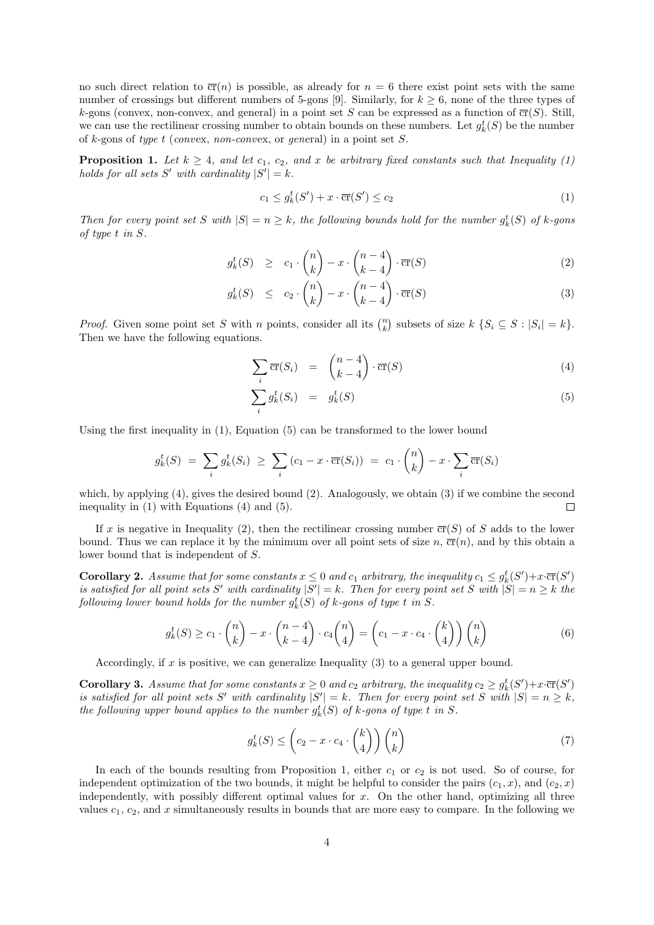no such direct relation to  $\overline{cr}(n)$  is possible, as already for  $n = 6$  there exist point sets with the same number of crossings but different numbers of 5-gons [9]. Similarly, for  $k \geq 6$ , none of the three types of k-gons (convex, non-convex, and general) in a point set S can be expressed as a function of  $\overline{cr}(S)$ . Still, we can use the rectilinear crossing number to obtain bounds on these numbers. Let  $g_k^t(S)$  be the number of k-gons of type t (convex, non-convex, or general) in a point set S.

**Proposition 1.** Let  $k \geq 4$ , and let  $c_1$ ,  $c_2$ , and x be arbitrary fixed constants such that Inequality (1) holds for all sets  $S'$  with cardinality  $|S'| = k$ .

$$
c_1 \le g_k^t(S') + x \cdot \overline{\text{cr}}(S') \le c_2 \tag{1}
$$

Then for every point set S with  $|S| = n \geq k$ , the following bounds hold for the number  $g_k^t(S)$  of k-gons of type t in S.

$$
g_k^t(S) \ge c_1 \cdot \binom{n}{k} - x \cdot \binom{n-4}{k-4} \cdot \overline{\operatorname{cr}}(S) \tag{2}
$$

$$
g_k^t(S) \le c_2 \cdot \binom{n}{k} - x \cdot \binom{n-4}{k-4} \cdot \overline{\operatorname{cr}}(S) \tag{3}
$$

*Proof.* Given some point set S with n points, consider all its  $\binom{n}{k}$  subsets of size  $k \{S_i \subseteq S : |S_i| = k\}$ . Then we have the following equations.

$$
\sum_{i} \overline{\operatorname{cr}}(S_i) = \binom{n-4}{k-4} \cdot \overline{\operatorname{cr}}(S) \tag{4}
$$

$$
\sum_{i} g_k^t(S_i) = g_k^t(S) \tag{5}
$$

Using the first inequality in (1), Equation (5) can be transformed to the lower bound

$$
g_k^t(S) = \sum_i g_k^t(S_i) \geq \sum_i (c_1 - x \cdot \overline{\text{cr}}(S_i)) = c_1 \cdot {n \choose k} - x \cdot \sum_i \overline{\text{cr}}(S_i)
$$

which, by applying (4), gives the desired bound (2). Analogously, we obtain (3) if we combine the second inequality in (1) with Equations (4) and (5).  $\Box$ 

If x is negative in Inequality (2), then the rectilinear crossing number  $\overline{cr}(S)$  of S adds to the lower bound. Thus we can replace it by the minimum over all point sets of size n,  $\overline{cr}(n)$ , and by this obtain a lower bound that is independent of S.

**Corollary 2.** Assume that for some constants  $x \leq 0$  and  $c_1$  arbitrary, the inequality  $c_1 \leq g_k^t(S') + x \cdot \overline{\text{cr}}(S')$ is satisfied for all point sets S' with cardinality  $|S'| = k$ . Then for every point set S with  $|S| = n \geq k$  the following lower bound holds for the number  $g_k^t(S)$  of k-gons of type t in S.

$$
g_k^t(S) \ge c_1 \cdot \binom{n}{k} - x \cdot \binom{n-4}{k-4} \cdot c_4 \binom{n}{4} = \left(c_1 - x \cdot c_4 \cdot \binom{k}{4}\right) \binom{n}{k} \tag{6}
$$

Accordingly, if x is positive, we can generalize Inequality  $(3)$  to a general upper bound.

**Corollary 3.** Assume that for some constants  $x \geq 0$  and  $c_2$  arbitrary, the inequality  $c_2 \geq g_k^t(S') + x \cdot \overline{\text{cr}}(S')$ is satisfied for all point sets S' with cardinality  $|S'| = k$ . Then for every point set S with  $|S| = n \geq k$ , the following upper bound applies to the number  $g_k^t(S)$  of k-gons of type t in S.

$$
g_k^t(S) \le \left(c_2 - x \cdot c_4 \cdot \binom{k}{4}\right) \binom{n}{k} \tag{7}
$$

In each of the bounds resulting from Proposition 1, either  $c_1$  or  $c_2$  is not used. So of course, for independent optimization of the two bounds, it might be helpful to consider the pairs  $(c_1, x)$ , and  $(c_2, x)$ independently, with possibly different optimal values for  $x$ . On the other hand, optimizing all three values  $c_1, c_2$ , and x simultaneously results in bounds that are more easy to compare. In the following we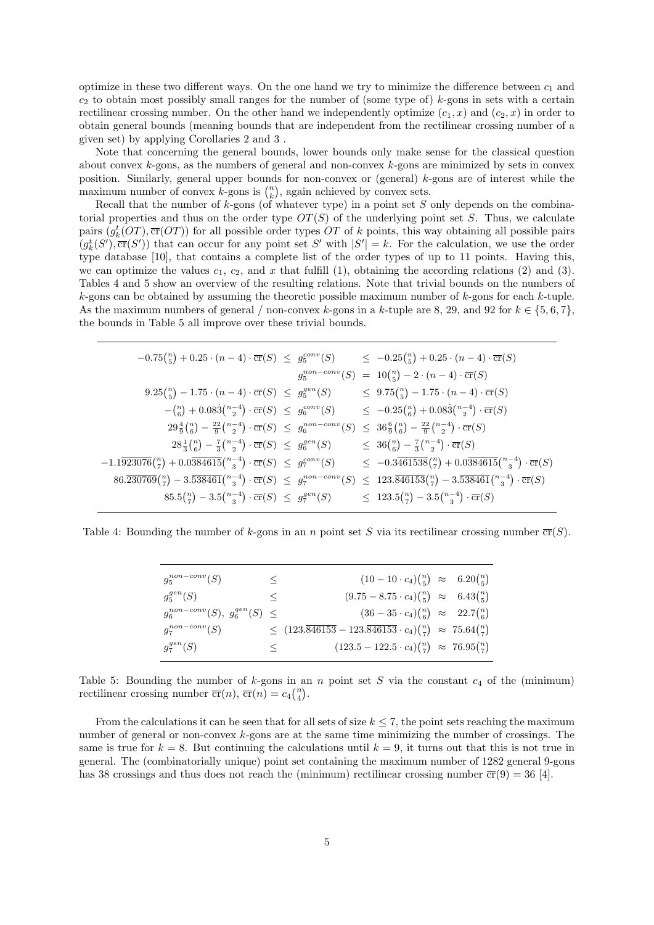optimize in these two different ways. On the one hand we try to minimize the difference between  $c_1$  and  $c_2$  to obtain most possibly small ranges for the number of (some type of) k-gons in sets with a certain rectilinear crossing number. On the other hand we independently optimize  $(c_1, x)$  and  $(c_2, x)$  in order to obtain general bounds (meaning bounds that are independent from the rectilinear crossing number of a given set) by applying Corollaries 2 and 3 .

Note that concerning the general bounds, lower bounds only make sense for the classical question about convex  $k$ -gons, as the numbers of general and non-convex  $k$ -gons are minimized by sets in convex position. Similarly, general upper bounds for non-convex or (general) k-gons are of interest while the maximum number of convex k-gons is  $\binom{n}{k}$ , again achieved by convex sets.

Recall that the number of  $k$ -gons (of whatever type) in a point set S only depends on the combinatorial properties and thus on the order type  $OT(S)$  of the underlying point set S. Thus, we calculate pairs  $(g_k^t(OT), \overline{cr}(OT))$  for all possible order types OT of k points, this way obtaining all possible pairs  $(g<sub>k</sub><sup>t</sup>(S'), \overline{\text{cr}}(S'))$  that can occur for any point set S' with  $|S'| = k$ . For the calculation, we use the order type database [10], that contains a complete list of the order types of up to 11 points. Having this, we can optimize the values  $c_1, c_2$ , and x that fulfill (1), obtaining the according relations (2) and (3). Tables 4 and 5 show an overview of the resulting relations. Note that trivial bounds on the numbers of  $k$ -gons can be obtained by assuming the theoretic possible maximum number of  $k$ -gons for each  $k$ -tuple. As the maximum numbers of general / non-convex k-gons in a k-tuple are 8, 29, and 92 for  $k \in \{5, 6, 7\}$ , the bounds in Table 5 all improve over these trivial bounds.

| $-0.75\binom{n}{5} + 0.25 \cdot (n-4) \cdot \overline{\text{cr}}(S) \leq g_5^{conv}(S)$                                       |  | $\leq -0.25\binom{n}{5} + 0.25 \cdot (n-4) \cdot \overline{\text{cr}}(S)$                                     |
|-------------------------------------------------------------------------------------------------------------------------------|--|---------------------------------------------------------------------------------------------------------------|
|                                                                                                                               |  | $g_5^{non-conv}(S) = 10 {n \choose 5} - 2 \cdot (n-4) \cdot \overline{\text{cr}}(S)$                          |
| $9.25\binom{n}{5} - 1.75 \cdot (n-4) \cdot \overline{\text{cr}}(S) \leq g_5^{gen}(S)$                                         |  | $\leq 9.75 {n \choose 5} - 1.75 \cdot (n-4) \cdot \overline{\text{cr}}(S)$                                    |
| $-\binom{n}{6} + 0.083\binom{n-4}{2} \cdot \overline{\text{cr}}(S) \leq g_6^{conv}(S)$                                        |  | $\leq -0.25\binom{n}{6} + 0.083\binom{n-4}{2} \cdot \overline{\text{cr}}(S)$                                  |
| $29\frac{4}{9}\binom{n}{6} - \frac{22}{9}\binom{n-4}{2} \cdot \overline{\text{cr}}(S) \leq g_6^{non-conv}(S)$                 |  | $\leq 36\frac{6}{9}\binom{n}{6} - \frac{22}{9}\binom{n-4}{2} \cdot \overline{\text{cr}}(S)$                   |
| $28\frac{1}{3}\binom{n}{6} - \frac{7}{3}\binom{n-4}{2} \cdot \overline{\text{cr}}(S) \leq g_6^{gen}(S)$                       |  | $\leq 36{n \choose 6} - \frac{7}{3}{n-4 \choose 2} \cdot \overline{\text{cr}}(S)$                             |
| $-1.1\overline{923076} {n \choose 7} + 0.0\overline{384615} {n-4 \choose 3} \cdot \overline{\text{cr}}(S) \leq g_7^{conv}(S)$ |  | $\leq -0.3\overline{461538} \binom{n}{7} + 0.0\overline{384615} \binom{n-4}{3} \cdot \overline{\text{cr}}(S)$ |
| $86.\overline{230769} \binom{n}{7} - 3.\overline{538461} \binom{n-4}{3} \cdot \overline{\text{cr}}(S) \leq g_7^{non-conv}(S)$ |  | $\leq 123.\overline{846153} \binom{n}{7} - 3.\overline{538461} \binom{n-4}{3} \cdot \overline{\text{cr}}(S)$  |
| $85.5\binom{n}{7} - 3.5\binom{n-4}{3} \cdot \overline{\text{cr}}(S) \leq g_7^{gen}(S)$                                        |  | $\leq 123.5\binom{n}{7} - 3.5\binom{n-4}{3} \cdot \overline{\text{cr}}(S)$                                    |
|                                                                                                                               |  |                                                                                                               |

Table 4: Bounding the number of k-gons in an n point set S via its rectilinear crossing number  $\overline{cr}(S)$ .

| $g_5^{non-conv}(S)$                    | $\lt$ | $(10-10 \cdot c_4)^{\binom{n}{5}} \approx 6.20 \binom{n}{5}$                                           |  |
|----------------------------------------|-------|--------------------------------------------------------------------------------------------------------|--|
| $g_5^{gen}(S)$                         | $\lt$ | $(9.75-8.75 \cdot c_4)^{\binom{n}{5}} \approx 6.43 \binom{n}{5}$                                       |  |
| $g_6^{non-conv}(S), g_6^{gen}(S) \leq$ |       | $(36-35 \cdot c_4)^n\binom{n}{6} \approx 22.7\binom{n}{6}$                                             |  |
| $g_7^{non-conv}(S)$                    |       | $\leq (123.\overline{846153} - 123.\overline{846153} \cdot c_4)\binom{n}{7} \approx 75.64\binom{n}{7}$ |  |
| $q_7^{gen}(S)$                         | ↖     | $(123.5 - 122.5 \cdot c_4)^{\binom{n}{7}} \approx 76.95^{\binom{n}{7}}$                                |  |

Table 5: Bounding the number of  $k$ -gons in an n point set S via the constant  $c_4$  of the (minimum) rectilinear crossing number  $\overline{\text{cr}}(n)$ ,  $\overline{\text{cr}}(n) = c_4 {n \choose 4}$ .

From the calculations it can be seen that for all sets of size  $k \leq 7$ , the point sets reaching the maximum number of general or non-convex k-gons are at the same time minimizing the number of crossings. The same is true for  $k = 8$ . But continuing the calculations until  $k = 9$ , it turns out that this is not true in general. The (combinatorially unique) point set containing the maximum number of 1282 general 9-gons has 38 crossings and thus does not reach the (minimum) rectilinear crossing number  $\overline{cr}(9) = 36$  [4].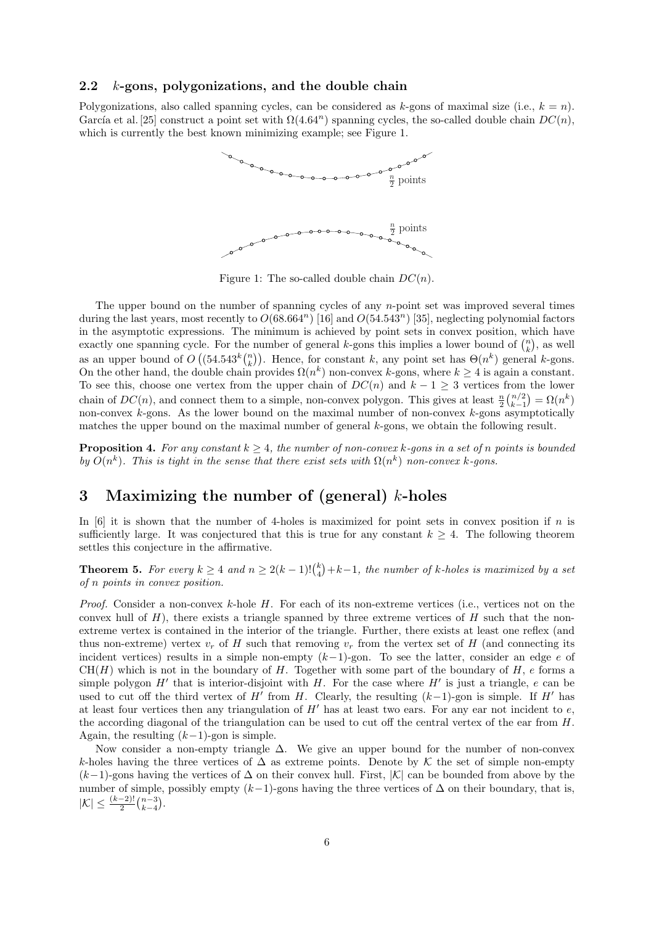#### 2.2 k-gons, polygonizations, and the double chain

Polygonizations, also called spanning cycles, can be considered as k-gons of maximal size (i.e.,  $k = n$ ). García et al. [25] construct a point set with  $\Omega(4.64^n)$  spanning cycles, the so-called double chain  $DC(n)$ . which is currently the best known minimizing example; see Figure 1.



Figure 1: The so-called double chain  $DC(n)$ .

The upper bound on the number of spanning cycles of any  $n$ -point set was improved several times during the last years, most recently to  $O(68.664^n)$  [16] and  $O(54.543^n)$  [35], neglecting polynomial factors in the asymptotic expressions. The minimum is achieved by point sets in convex position, which have exactly one spanning cycle. For the number of general k-gons this implies a lower bound of  $\binom{n}{k}$ , as well as an upper bound of  $O((54.543^k {n \choose k})$ . Hence, for constant k, any point set has  $\Theta(n^k)$  general k-gons. On the other hand, the double chain provides  $\Omega(n^k)$  non-convex k-gons, where  $k \ge 4$  is again a constant. To see this, choose one vertex from the upper chain of  $DC(n)$  and  $k-1 \geq 3$  vertices from the lower chain of  $DC(n)$ , and connect them to a simple, non-convex polygon. This gives at least  $\frac{n}{2} {n/2 \choose k-1} = \Omega(n^k)$ non-convex  $k$ -gons. As the lower bound on the maximal number of non-convex  $k$ -gons asymptotically matches the upper bound on the maximal number of general k-gons, we obtain the following result.

**Proposition 4.** For any constant  $k \geq 4$ , the number of non-convex k-gons in a set of n points is bounded by  $O(n^k)$ . This is tight in the sense that there exist sets with  $\Omega(n^k)$  non-convex k-gons.

# 3 Maximizing the number of (general)  $k$ -holes

In  $[6]$  it is shown that the number of 4-holes is maximized for point sets in convex position if n is sufficiently large. It was conjectured that this is true for any constant  $k \geq 4$ . The following theorem settles this conjecture in the affirmative.

**Theorem 5.** For every  $k \geq 4$  and  $n \geq 2(k-1)!\binom{k}{4}+k-1$ , the number of k-holes is maximized by a set of n points in convex position.

*Proof.* Consider a non-convex k-hole H. For each of its non-extreme vertices (i.e., vertices not on the convex hull of  $H$ ), there exists a triangle spanned by three extreme vertices of  $H$  such that the nonextreme vertex is contained in the interior of the triangle. Further, there exists at least one reflex (and thus non-extreme) vertex  $v_r$  of H such that removing  $v_r$  from the vertex set of H (and connecting its incident vertices) results in a simple non-empty  $(k-1)$ -gon. To see the latter, consider an edge e of  $CH(H)$  which is not in the boundary of H. Together with some part of the boundary of H, e forms a simple polygon  $H'$  that is interior-disjoint with H. For the case where  $H'$  is just a triangle, e can be used to cut off the third vertex of H' from H. Clearly, the resulting  $(k-1)$ -gon is simple. If H' has at least four vertices then any triangulation of  $H'$  has at least two ears. For any ear not incident to  $e$ , the according diagonal of the triangulation can be used to cut off the central vertex of the ear from H. Again, the resulting  $(k-1)$ -gon is simple.

Now consider a non-empty triangle  $\Delta$ . We give an upper bound for the number of non-convex k-holes having the three vertices of  $\Delta$  as extreme points. Denote by K the set of simple non-empty  $(k-1)$ -gons having the vertices of  $\Delta$  on their convex hull. First,  $|\mathcal{K}|$  can be bounded from above by the number of simple, possibly empty  $(k-1)$ -gons having the three vertices of  $\Delta$  on their boundary, that is,  $|\mathcal{K}| \leq \frac{(k-2)!}{2} {n-3 \choose k-4}.$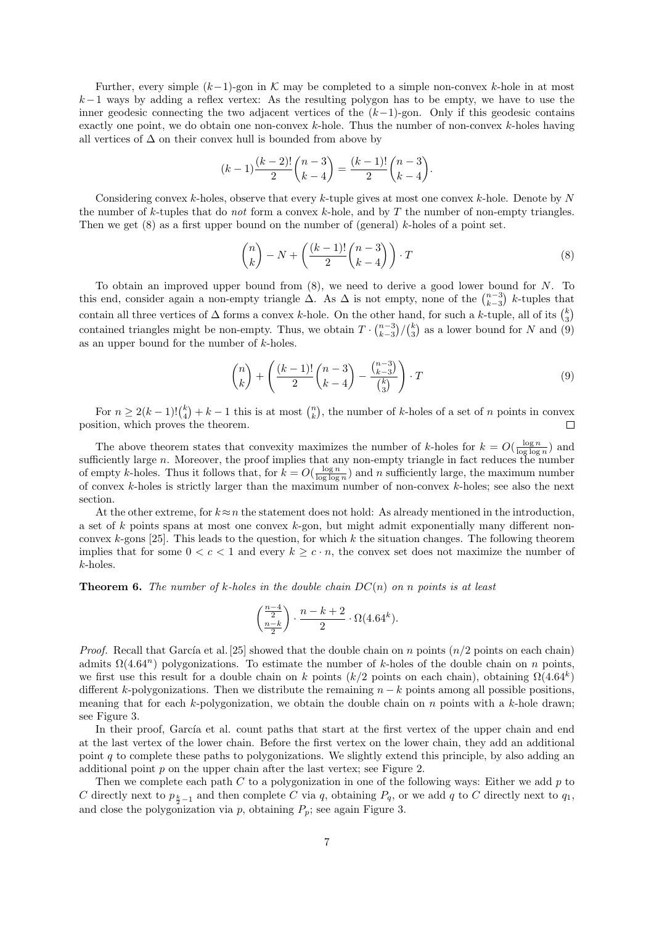Further, every simple  $(k-1)$ -gon in K may be completed to a simple non-convex k-hole in at most  $k-1$  ways by adding a reflex vertex: As the resulting polygon has to be empty, we have to use the inner geodesic connecting the two adjacent vertices of the  $(k-1)$ -gon. Only if this geodesic contains exactly one point, we do obtain one non-convex k-hole. Thus the number of non-convex k-holes having all vertices of  $\Delta$  on their convex hull is bounded from above by

$$
(k-1)\frac{(k-2)!}{2}\binom{n-3}{k-4} = \frac{(k-1)!}{2}\binom{n-3}{k-4}.
$$

Considering convex k-holes, observe that every k-tuple gives at most one convex k-hole. Denote by  $N$ the number of k-tuples that do *not* form a convex k-hole, and by T the number of non-empty triangles. Then we get  $(8)$  as a first upper bound on the number of (general) k-holes of a point set.

$$
\binom{n}{k} - N + \left(\frac{(k-1)!}{2} \binom{n-3}{k-4}\right) \cdot T \tag{8}
$$

To obtain an improved upper bound from  $(8)$ , we need to derive a good lower bound for N. To this end, consider again a non-empty triangle  $\Delta$ . As  $\Delta$  is not empty, none of the  $\binom{n-3}{k-3}$  k-tuples that contain all three vertices of  $\Delta$  forms a convex k-hole. On the other hand, for such a k-tuple, all of its  $\binom{k}{3}$ contained triangles might be non-empty. Thus, we obtain  $T \cdot {n-3 \choose k-3} / {k \choose 3}$  as a lower bound for N and (9) as an upper bound for the number of k-holes.

$$
\binom{n}{k} + \left(\frac{(k-1)!}{2}\binom{n-3}{k-4} - \frac{\binom{n-3}{k-3}}{\binom{k}{3}}\right) \cdot T \tag{9}
$$

For  $n \geq 2(k-1) \binom{k}{4} + k - 1$  this is at most  $\binom{n}{k}$ , the number of k-holes of a set of n points in convex position, which proves the theorem.  $\Box$ 

The above theorem states that convexity maximizes the number of k-holes for  $k = O(\frac{\log n}{\log \log n})$  and sufficiently large  $n$ . Moreover, the proof implies that any non-empty triangle in fact reduces the number of empty k-holes. Thus it follows that, for  $k = O(\frac{\log n}{\log \log n})$  and n sufficiently large, the maximum number of convex  $k$ -holes is strictly larger than the maximum number of non-convex  $k$ -holes; see also the next section.

At the other extreme, for  $k \approx n$  the statement does not hold: As already mentioned in the introduction, a set of k points spans at most one convex k-gon, but might admit exponentially many different nonconvex k-gons [25]. This leads to the question, for which k the situation changes. The following theorem implies that for some  $0 < c < 1$  and every  $k \geq c \cdot n$ , the convex set does not maximize the number of k-holes.

**Theorem 6.** The number of k-holes in the double chain  $DC(n)$  on n points is at least

$$
\binom{\frac{n-4}{2}}{\frac{n-k}{2}} \cdot \frac{n-k+2}{2} \cdot \Omega(4.64^k).
$$

*Proof.* Recall that García et al. [25] showed that the double chain on n points  $(n/2)$  points on each chain) admits  $\Omega(4.64^n)$  polygonizations. To estimate the number of k-holes of the double chain on n points, we first use this result for a double chain on k points (k/2 points on each chain), obtaining  $\Omega(4.64^k)$ different k-polygonizations. Then we distribute the remaining  $n - k$  points among all possible positions, meaning that for each k-polygonization, we obtain the double chain on n points with a k-hole drawn; see Figure 3.

In their proof, García et al. count paths that start at the first vertex of the upper chain and end at the last vertex of the lower chain. Before the first vertex on the lower chain, they add an additional point q to complete these paths to polygonizations. We slightly extend this principle, by also adding an additional point p on the upper chain after the last vertex; see Figure 2.

Then we complete each path  $C$  to a polygonization in one of the following ways: Either we add  $p$  to C directly next to  $p_{\frac{k}{2}-1}$  and then complete C via q, obtaining  $P_q$ , or we add q to C directly next to  $q_1$ , and close the polygonization via  $p$ , obtaining  $P_p$ ; see again Figure 3.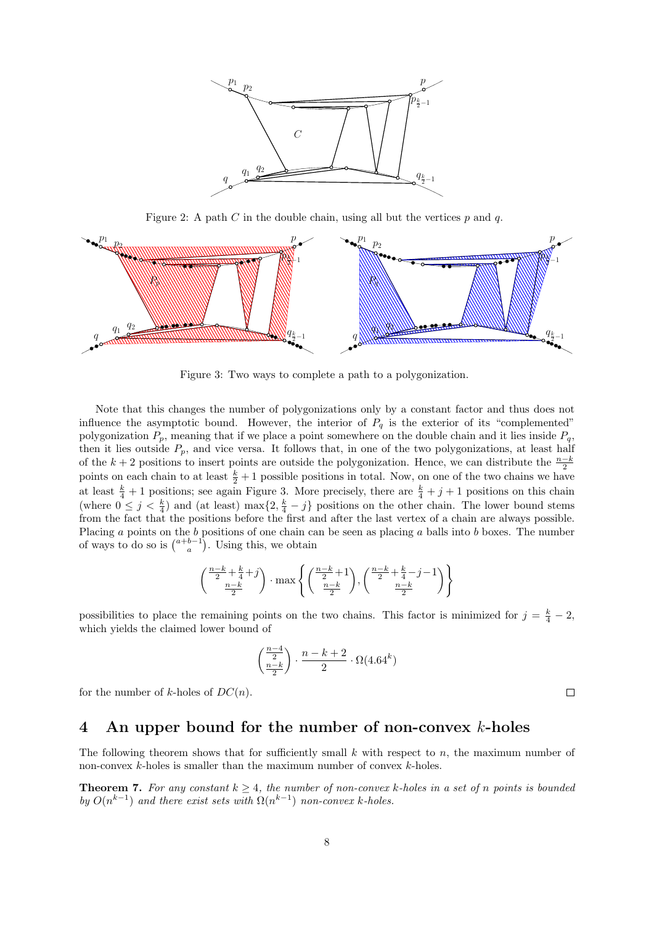

Figure 2: A path C in the double chain, using all but the vertices  $p$  and  $q$ .



Figure 3: Two ways to complete a path to a polygonization.

Note that this changes the number of polygonizations only by a constant factor and thus does not influence the asymptotic bound. However, the interior of  $P<sub>q</sub>$  is the exterior of its "complemented" polygonization  $P_p$ , meaning that if we place a point somewhere on the double chain and it lies inside  $P_q$ , then it lies outside  $P_p$ , and vice versa. It follows that, in one of the two polygonizations, at least half of the k + 2 positions to insert points are outside the polygonization. Hence, we can distribute the  $\frac{n-k}{2}$ points on each chain to at least  $\frac{k}{2}+1$  possible positions in total. Now, on one of the two chains we have at least  $\frac{k}{4}+1$  positions; see again Figure 3. More precisely, there are  $\frac{k}{4}+j+1$  positions on this chain (where  $0 \leq j \leq \frac{k}{4}$ ) and (at least) max $\{2, \frac{k}{4} - j\}$  positions on the other chain. The lower bound stems from the fact that the positions before the first and after the last vertex of a chain are always possible. Placing a points on the b positions of one chain can be seen as placing a balls into b boxes. The number of ways to do so is  $\binom{a+b-1}{a}$ . Using this, we obtain

$$
\left(\frac{\frac{n-k}{2}+\frac{k}{4}+j}{\frac{n-k}{2}}\right)\cdot\max\left\{\left(\frac{\frac{n-k}{2}+1}{\frac{n-k}{2}}\right),\left(\frac{\frac{n-k}{2}+\frac{k}{4}-j-1}{\frac{n-k}{2}}\right)\right\}
$$

possibilities to place the remaining points on the two chains. This factor is minimized for  $j = \frac{k}{4} - 2$ , which yields the claimed lower bound of

$$
\binom{\frac{n-4}{2}}{\frac{n-k}{2}} \cdot \frac{n-k+2}{2} \cdot \Omega(4.64^k)
$$

for the number of k-holes of  $DC(n)$ .

#### $\Box$

#### 4 An upper bound for the number of non-convex k-holes

The following theorem shows that for sufficiently small k with respect to n, the maximum number of non-convex k-holes is smaller than the maximum number of convex k-holes.

**Theorem 7.** For any constant  $k \geq 4$ , the number of non-convex k-holes in a set of n points is bounded by  $O(n^{k-1})$  and there exist sets with  $\Omega(n^{k-1})$  non-convex k-holes.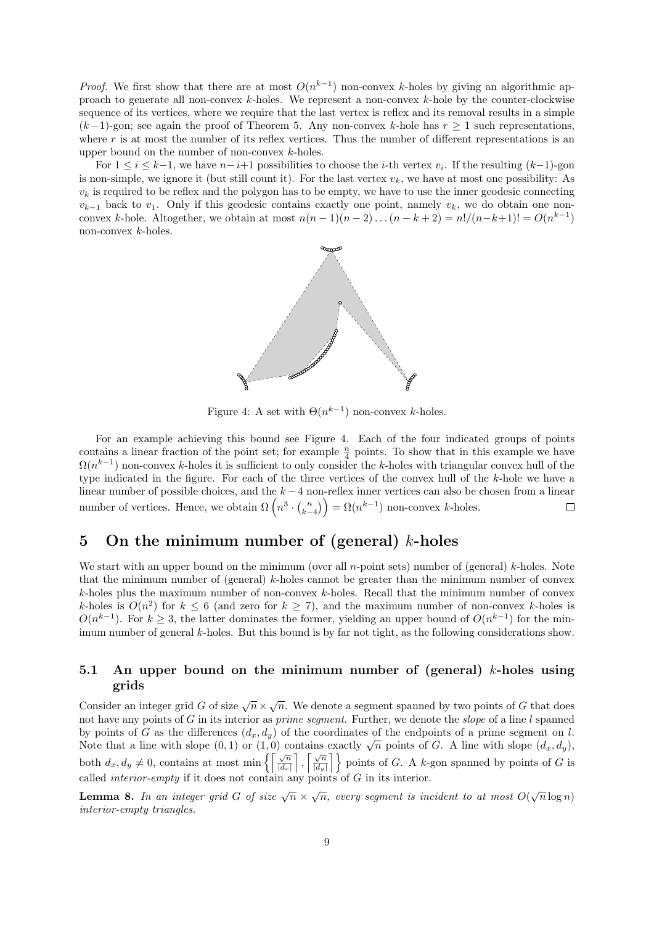*Proof.* We first show that there are at most  $O(n^{k-1})$  non-convex k-holes by giving an algorithmic approach to generate all non-convex  $k$ -holes. We represent a non-convex  $k$ -hole by the counter-clockwise sequence of its vertices, where we require that the last vertex is reflex and its removal results in a simple  $(k-1)$ -gon; see again the proof of Theorem 5. Any non-convex k-hole has  $r \geq 1$  such representations, where  $r$  is at most the number of its reflex vertices. Thus the number of different representations is an upper bound on the number of non-convex  $k$ -holes.

For  $1 \leq i \leq k-1$ , we have  $n-i+1$  possibilities to choose the *i*-th vertex  $v_i$ . If the resulting  $(k-1)$ -gon is non-simple, we ignore it (but still count it). For the last vertex  $v_k$ , we have at most one possibility: As  $v_k$  is required to be reflex and the polygon has to be empty, we have to use the inner geodesic connecting  $v_{k-1}$  back to  $v_1$ . Only if this geodesic contains exactly one point, namely  $v_k$ , we do obtain one nonconvex k-hole. Altogether, we obtain at most  $n(n-1)(n-2)...(n-k+2) = n!/(n-k+1)! = O(n^{k-1})$ non-convex k-holes.



Figure 4: A set with  $\Theta(n^{k-1})$  non-convex k-holes.

For an example achieving this bound see Figure 4. Each of the four indicated groups of points contains a linear fraction of the point set; for example  $\frac{n}{4}$  points. To show that in this example we have  $\Omega(n^{k-1})$  non-convex k-holes it is sufficient to only consider the k-holes with triangular convex hull of the type indicated in the figure. For each of the three vertices of the convex hull of the k-hole we have a linear number of possible choices, and the k −4 non-reflex inner vertices can also be chosen from a linear number of vertices. Hence, we obtain  $\Omega\left(n^3 \cdot {n \choose k-4}\right) = \Omega(n^{k-1})$  non-convex k-holes.  $\Box$ 

# 5 On the minimum number of (general)  $k$ -holes

We start with an upper bound on the minimum (over all n-point sets) number of (general) k-holes. Note that the minimum number of (general) k-holes cannot be greater than the minimum number of convex  $k$ -holes plus the maximum number of non-convex  $k$ -holes. Recall that the minimum number of convex k-holes is  $O(n^2)$  for  $k \leq 6$  (and zero for  $k \geq 7$ ), and the maximum number of non-convex k-holes is  $O(n^{k-1})$ . For  $k \geq 3$ , the latter dominates the former, yielding an upper bound of  $O(n^{k-1})$  for the minimum number of general k-holes. But this bound is by far not tight, as the following considerations show.

#### 5.1 An upper bound on the minimum number of (general) k-holes using grids

Consider an integer grid G of size  $\sqrt{n} \times \sqrt{n}$ . We denote a segment spanned by two points of G that does not have any points of G in its interior as *prime segment*. Further, we denote the *slope* of a line l spanned by points of G as the differences  $(d_x, d_y)$  of the coordinates of the endpoints of a prime segment on l. Note that a line with slope  $(0,1)$  or  $(1,0)$  contains exactly  $\sqrt{n}$  points of G. A line with slope  $(d_x, d_y)$ , both  $d_x, d_y \neq 0$ , contains at most min  $\left\{ \left\lceil \frac{\sqrt{n}}{|d_x} \right\rceil$  $|d_x|$  $\Big\}, \Big[\frac{\sqrt{n}}{\vert d\vert}\Big]$  $\left\{\frac{\sqrt{n}}{|d_y|}\right\}$  points of G. A k-gon spanned by points of G is called *interior-empty* if it does not contain any points of  $G$  in its interior.

**Lemma 8.** In an integer grid G of size  $\sqrt{n} \times \sqrt{n}$ , every segment is incident to at most  $O(\sqrt{n}\log n)$ interior-empty triangles.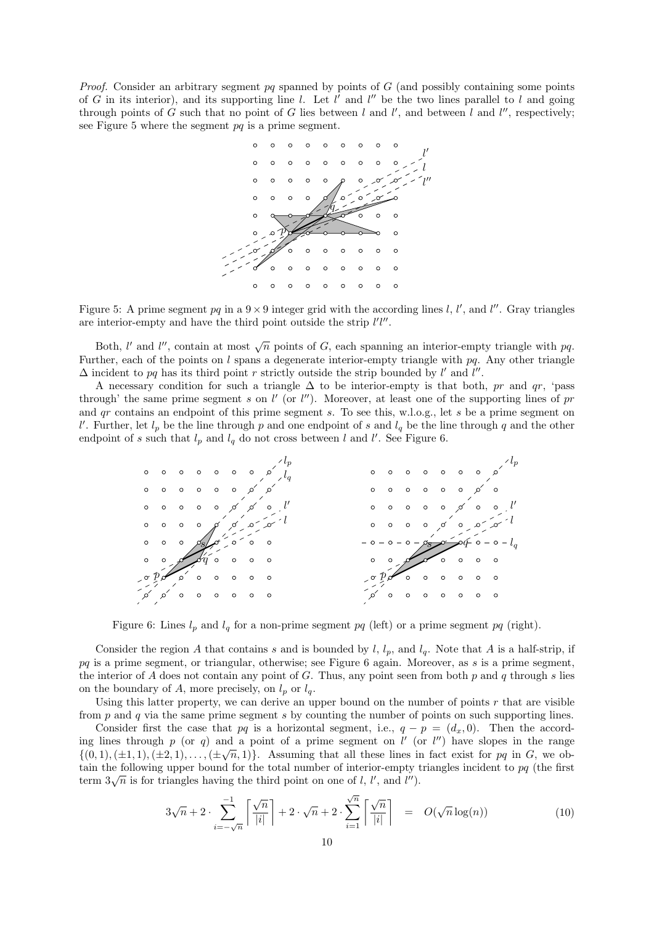*Proof.* Consider an arbitrary segment pq spanned by points of  $G$  (and possibly containing some points of G in its interior), and its supporting line l. Let l' and l'' be the two lines parallel to l and going through points of G such that no point of G lies between l and l', and between l and l'', respectively; see Figure 5 where the segment  $pq$  is a prime segment.



Figure 5: A prime segment  $pq$  in a  $9 \times 9$  integer grid with the according lines l, l', and l''. Gray triangles are interior-empty and have the third point outside the strip  $l'l''$ .

Both, l' and l'', contain at most  $\sqrt{n}$  points of G, each spanning an interior-empty triangle with pq. Further, each of the points on l spans a degenerate interior-empty triangle with  $pq$ . Any other triangle  $\Delta$  incident to pq has its third point r strictly outside the strip bounded by l' and l''.

A necessary condition for such a triangle  $\Delta$  to be interior-empty is that both, pr and qr, 'pass through' the same prime segment s on l' (or l''). Moreover, at least one of the supporting lines of pr and  $qr$  contains an endpoint of this prime segment s. To see this, w.l.o.g., let s be a prime segment on l'. Further, let  $l_p$  be the line through p and one endpoint of s and  $l_q$  be the line through q and the other endpoint of s such that  $l_p$  and  $l_q$  do not cross between l and l'. See Figure 6.



Figure 6: Lines  $l_p$  and  $l_q$  for a non-prime segment pq (left) or a prime segment pq (right).

Consider the region A that contains s and is bounded by  $l, l_p$ , and  $l_q$ . Note that A is a half-strip, if  $pq$  is a prime segment, or triangular, otherwise; see Figure 6 again. Moreover, as s is a prime segment, the interior of A does not contain any point of G. Thus, any point seen from both  $p$  and  $q$  through  $s$  lies on the boundary of A, more precisely, on  $l_p$  or  $l_q$ .

Using this latter property, we can derive an upper bound on the number of points  $r$  that are visible from  $p$  and  $q$  via the same prime segment  $s$  by counting the number of points on such supporting lines.

Consider first the case that pq is a horizontal segment, i.e.,  $q - p = (d_x, 0)$ . Then the according lines through p (or q) and a point of a prime segment on  $l'$  (or  $l''$ ) have slopes in the range  $\{(0,1),(\pm 1,1),(\pm 2,1),\ldots,(\pm \sqrt{n},1)\}.$  Assuming that all these lines in fact exist for pq in G, we obtain the following upper bound for the total number of interior-empty triangles incident to  $pq$  (the first term  $3\sqrt{n}$  is for triangles having the third point on one of l, l', and l'').

$$
3\sqrt{n} + 2 \cdot \sum_{i=-\sqrt{n}}^{-1} \left[ \frac{\sqrt{n}}{|i|} \right] + 2 \cdot \sqrt{n} + 2 \cdot \sum_{i=1}^{\sqrt{n}} \left[ \frac{\sqrt{n}}{|i|} \right] = O(\sqrt{n} \log(n)) \tag{10}
$$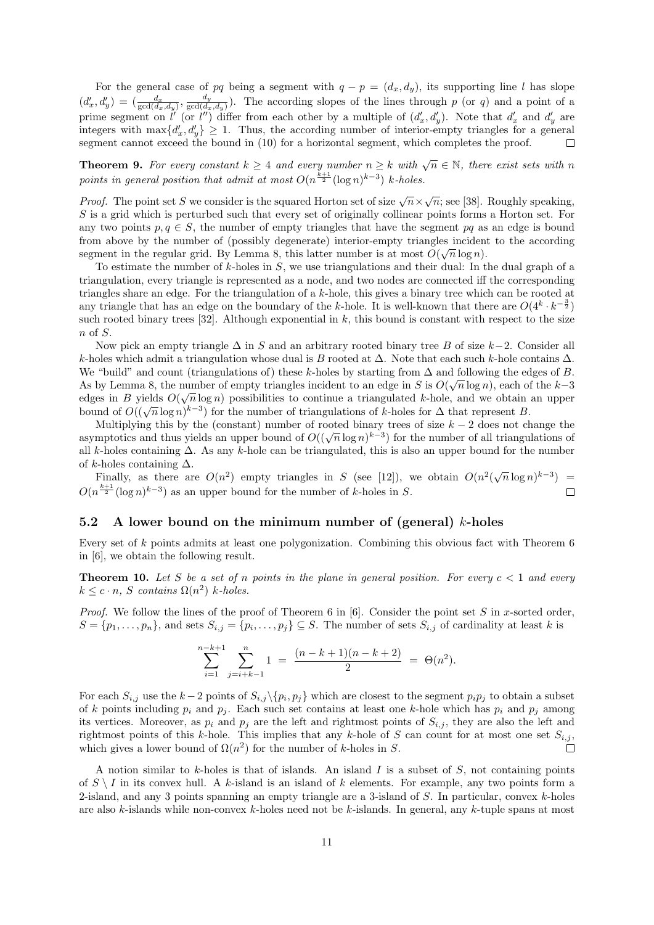For the general case of pq being a segment with  $q - p = (d_x, d_y)$ , its supporting line l has slope  $(d'_x, d'_y) = \left(\frac{d_x}{\gcd(d_x, d_y)}, \frac{d_y}{\gcd(d_x, d_y)}\right)$  $\frac{a_y}{\gcd(d_x,d_y)}$ . The according slopes of the lines through p (or q) and a point of a prime segment on l' (or l'') differ from each other by a multiple of  $(d'_x, d'_y)$ . Note that  $d'_x$  and  $d'_y$  are integers with  $\max\{d'_x, d'_y\} \geq 1$ . Thus, the according number of interior-empty triangles for a general segment cannot exceed the bound in (10) for a horizontal segment, which completes the proof.

**Theorem 9.** For every constant  $k \geq 4$  and every number  $n \geq k$  with  $\sqrt{n} \in \mathbb{N}$ , there exist sets with n points in general position that admit at most  $O(n^{\frac{k+1}{2}}(\log n)^{k-3})$  k-holes.

*Proof.* The point set S we consider is the squared Horton set of size  $\sqrt{n} \times \sqrt{n}$ ; see [38]. Roughly speaking, S is a grid which is perturbed such that every set of originally collinear points forms a Horton set. For any two points  $p, q \in S$ , the number of empty triangles that have the segment  $pq$  as an edge is bound from above by the number of (possibly degenerate) interior-empty triangles incident to the according segment in the regular grid. By Lemma 8, this latter number is at most  $O(\sqrt{n}\log n)$ .

To estimate the number of  $k$ -holes in  $S$ , we use triangulations and their dual: In the dual graph of a triangulation, every triangle is represented as a node, and two nodes are connected iff the corresponding triangles share an edge. For the triangulation of a k-hole, this gives a binary tree which can be rooted at any triangle that has an edge on the boundary of the k-hole. It is well-known that there are  $O(4^k \cdot k^{-\frac{3}{2}})$ such rooted binary trees [32]. Although exponential in  $k$ , this bound is constant with respect to the size  $n \text{ of } S$ .

Now pick an empty triangle  $\Delta$  in S and an arbitrary rooted binary tree B of size k-2. Consider all k-holes which admit a triangulation whose dual is B rooted at  $\Delta$ . Note that each such k-hole contains  $\Delta$ . We "build" and count (triangulations of) these k-holes by starting from  $\Delta$  and following the edges of B. As by Lemma 8, the number of empty triangles incident to an edge in S is  $O(\sqrt{n}\log n)$ , each of the k-3 edges in B yields  $O(\sqrt{n}\log n)$  possibilities to continue a triangulated k-hole, and we obtain an upper bound of  $O((\sqrt{n}\log n)^{k-3})$  for the number of triangulations of k-holes for  $\Delta$  that represent B.

Multiplying this by the (constant) number of rooted binary trees of size  $k-2$  does not change the asymptotics and thus yields an upper bound of  $O((\sqrt{n}\log n)^{k-3})$  for the number of all triangulations of all k-holes containing ∆. As any k-hole can be triangulated, this is also an upper bound for the number of k-holes containing  $\Delta$ .

Finally, as there are  $O(n^2)$  empty triangles in S (see [12]), we obtain  $O(n^2(\sqrt{n}\log n)^{k-3})$  =  $O(n^{\frac{k+1}{2}}(\log n)^{k-3})$  as an upper bound for the number of k-holes in S.  $\Box$ 

#### 5.2 A lower bound on the minimum number of (general) k-holes

Every set of k points admits at least one polygonization. Combining this obvious fact with Theorem 6 in [6], we obtain the following result.

**Theorem 10.** Let S be a set of n points in the plane in general position. For every  $c < 1$  and every  $k \leq c \cdot n$ , S contains  $\Omega(n^2)$  k-holes.

*Proof.* We follow the lines of the proof of Theorem 6 in [6]. Consider the point set S in x-sorted order,  $S = \{p_1, \ldots, p_n\}$ , and sets  $S_{i,j} = \{p_i, \ldots, p_j\} \subseteq S$ . The number of sets  $S_{i,j}$  of cardinality at least k is

$$
\sum_{i=1}^{n-k+1} \sum_{j=i+k-1}^{n} 1 = \frac{(n-k+1)(n-k+2)}{2} = \Theta(n^2).
$$

For each  $S_{i,j}$  use the  $k-2$  points of  $S_{i,j}\setminus\{p_i,p_j\}$  which are closest to the segment  $p_ip_j$  to obtain a subset of k points including  $p_i$  and  $p_j$ . Each such set contains at least one k-hole which has  $p_i$  and  $p_j$  among its vertices. Moreover, as  $p_i$  and  $p_j$  are the left and rightmost points of  $S_{i,j}$ , they are also the left and rightmost points of this k-hole. This implies that any k-hole of S can count for at most one set  $S_{i,j}$ , which gives a lower bound of  $\Omega(n^2)$  for the number of k-holes in S.  $\Box$ 

A notion similar to k-holes is that of islands. An island  $I$  is a subset of  $S$ , not containing points of  $S \setminus I$  in its convex hull. A k-island is an island of k elements. For example, any two points form a 2-island, and any 3 points spanning an empty triangle are a 3-island of  $S$ . In particular, convex  $k$ -holes are also k-islands while non-convex k-holes need not be k-islands. In general, any k-tuple spans at most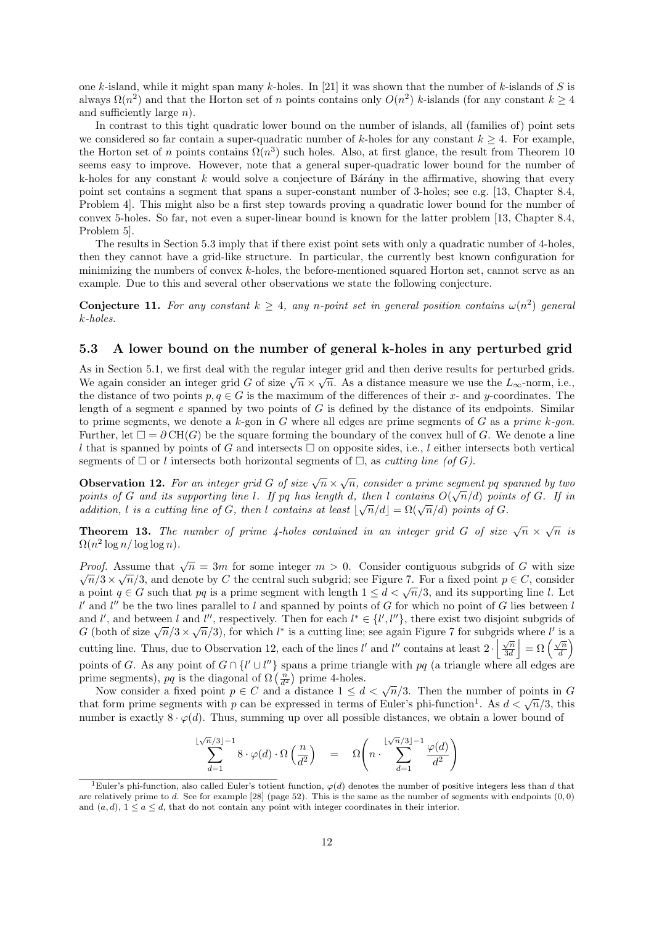one k-island, while it might span many k-holes. In [21] it was shown that the number of k-islands of S is always  $\Omega(n^2)$  and that the Horton set of n points contains only  $O(n^2)$  k-islands (for any constant  $k \geq 4$ and sufficiently large  $n$ ).

In contrast to this tight quadratic lower bound on the number of islands, all (families of) point sets we considered so far contain a super-quadratic number of k-holes for any constant  $k \geq 4$ . For example, the Horton set of n points contains  $\Omega(n^3)$  such holes. Also, at first glance, the result from Theorem 10 seems easy to improve. However, note that a general super-quadratic lower bound for the number of k-holes for any constant k would solve a conjecture of Bárány in the affirmative, showing that every point set contains a segment that spans a super-constant number of 3-holes; see e.g. [13, Chapter 8.4, Problem 4]. This might also be a first step towards proving a quadratic lower bound for the number of convex 5-holes. So far, not even a super-linear bound is known for the latter problem [13, Chapter 8.4, Problem 5].

The results in Section 5.3 imply that if there exist point sets with only a quadratic number of 4-holes, then they cannot have a grid-like structure. In particular, the currently best known configuration for minimizing the numbers of convex k-holes, the before-mentioned squared Horton set, cannot serve as an example. Due to this and several other observations we state the following conjecture.

**Conjecture 11.** For any constant  $k \geq 4$ , any n-point set in general position contains  $\omega(n^2)$  general k-holes.

#### 5.3 A lower bound on the number of general k-holes in any perturbed grid

As in Section 5.1, we first deal with the regular integer grid and then derive results for perturbed grids. We again consider an integer grid G of size  $\sqrt{n} \times \sqrt{n}$ . As a distance measure we use the  $L_{\infty}$ -norm, i.e., the distance of two points  $p, q \in G$  is the maximum of the differences of their x- and y-coordinates. The length of a segment  $e$  spanned by two points of  $G$  is defined by the distance of its endpoints. Similar to prime segments, we denote a k-gon in G where all edges are prime segments of G as a prime k-gon. Further, let  $\square = \partial CH(G)$  be the square forming the boundary of the convex hull of G. We denote a line l that is spanned by points of G and intersects  $\Box$  on opposite sides, i.e., l either intersects both vertical segments of  $\Box$  or l intersects both horizontal segments of  $\Box$ , as cutting line (of G).

**Observation 12.** For an integer grid G of size  $\sqrt{n} \times \sqrt{n}$ , consider a prime segment pq spanned by two points of G and its supporting line l. If pq has length d, then l contains  $O(\sqrt{n}/d)$  points of G. If in addition, l is a cutting line of G, then l contains at least  $\lfloor \sqrt{n}/d \rfloor = \Omega(\sqrt{n}/d)$  points of G.

**Theorem 13.** The number of prime 4-holes contained in an integer grid G of size  $\sqrt{n} \times \sqrt{n}$  is  $\Omega(n^2 \log n / \log \log n)$ .

*Proof.* Assume that  $\sqrt{n} = 3m$  for some integer  $m > 0$ . Consider contiguous subgrids of G with size  $\sqrt{n}/3 \times \sqrt{n}/3$ , and denote by C the central such subgrid; see Figure 7. For a fixed point  $p \in C$ , consider a point  $q \in G$  such that pq is a prime segment with length  $1 \leq d < \sqrt{n}/3$ , and its supporting line l. Let  $l'$  and  $l''$  be the two lines parallel to l and spanned by points of G for which no point of G lies between l and l', and between l and l'', respectively. Then for each  $l^* \in \{l', l''\}$ , there exist two disjoint subgrids of G (both of size  $\sqrt{n}/3 \times \sqrt{n}/3$ ), for which l<sup>\*</sup> is a cutting line; see again Figure 7 for subgrids where l' is a cutting line. Thus, due to Observation 12, each of the lines l' and l'' contains at least  $2 \cdot \left| \frac{\sqrt{n}}{3d} \right| = \Omega \left( \frac{\sqrt{n}}{d} \right)$  $\sqrt{\frac{n}{d}}\bigg)$ points of G. As any point of  $G \cap \{l' \cup l''\}$  spans a prime triangle with pq (a triangle where all edges are prime segments),  $pq$  is the diagonal of  $\Omega\left(\frac{n}{d^2}\right)$  prime 4-holes.

Now consider a fixed point  $p \in C$  and a distance  $1 \leq d < \sqrt{n}/3$ . Then the number of points in G that form prime segments with p can be expressed in terms of Euler's phi-function<sup>1</sup>. As  $d < \sqrt{n}/3$ , this number is exactly  $8 \cdot \varphi(d)$ . Thus, summing up over all possible distances, we obtain a lower bound of

$$
\sum_{d=1}^{\lfloor \sqrt{n}/3 \rfloor -1} 8 \cdot \varphi(d) \cdot \Omega\left(\frac{n}{d^2}\right) = \Omega\left(n \cdot \sum_{d=1}^{\lfloor \sqrt{n}/3 \rfloor -1} \frac{\varphi(d)}{d^2}\right)
$$

<sup>&</sup>lt;sup>1</sup>Euler's phi-function, also called Euler's totient function,  $\varphi(d)$  denotes the number of positive integers less than d that are relatively prime to d. See for example  $[28]$  (page 52). This is the same as the number of segments with endpoints  $(0,0)$ and  $(a, d)$ ,  $1 \le a \le d$ , that do not contain any point with integer coordinates in their interior.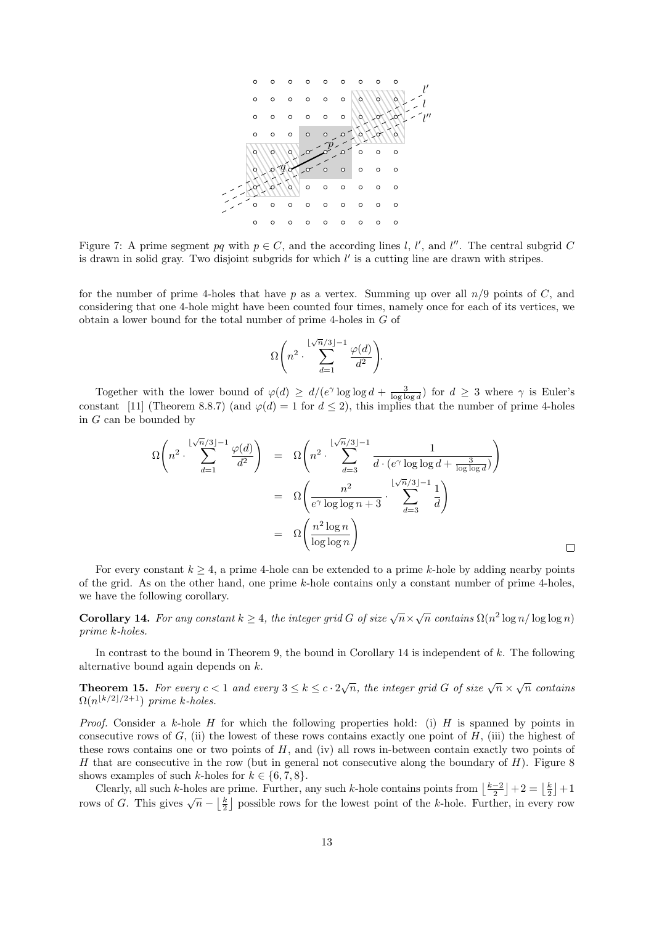

Figure 7: A prime segment pq with  $p \in C$ , and the according lines l, l', and l''. The central subgrid C is drawn in solid gray. Two disjoint subgrids for which  $l'$  is a cutting line are drawn with stripes.

for the number of prime 4-holes that have p as a vertex. Summing up over all  $n/9$  points of C, and considering that one 4-hole might have been counted four times, namely once for each of its vertices, we obtain a lower bound for the total number of prime 4-holes in G of

$$
\Omega\Biggl(n^2\cdot \sum_{d=1}^{\lfloor \sqrt{n}/3 \rfloor -1} \frac{\varphi(d)}{d^2}\Biggr).
$$

Together with the lower bound of  $\varphi(d) \ge d/(e^{\gamma} \log \log d + \frac{3}{\log \log d})$  for  $d \ge 3$  where  $\gamma$  is Euler's constant [11] (Theorem 8.8.7) (and  $\varphi(d) = 1$  for  $d \leq 2$ ), this implies that the number of prime 4-holes in G can be bounded by

$$
\Omega\left(n^2 \cdot \sum_{d=1}^{\lfloor \sqrt{n}/3 \rfloor - 1} \frac{\varphi(d)}{d^2}\right) = \Omega\left(n^2 \cdot \sum_{d=3}^{\lfloor \sqrt{n}/3 \rfloor - 1} \frac{1}{d \cdot (e^{\gamma} \log \log d + \frac{3}{\log \log d})}\right)
$$

$$
= \Omega\left(\frac{n^2}{e^{\gamma} \log \log n + 3} \cdot \sum_{d=3}^{\lfloor \sqrt{n}/3 \rfloor - 1} \frac{1}{d}\right)
$$

$$
= \Omega\left(\frac{n^2 \log n}{\log \log n}\right)
$$

 $\Box$ 

For every constant  $k \geq 4$ , a prime 4-hole can be extended to a prime k-hole by adding nearby points of the grid. As on the other hand, one prime k-hole contains only a constant number of prime 4-holes, we have the following corollary.

**Corollary 14.** For any constant  $k \geq 4$ , the integer grid G of size  $\sqrt{n} \times \sqrt{n}$  contains  $\Omega(n^2 \log n / \log \log n)$ prime k-holes.

In contrast to the bound in Theorem 9, the bound in Corollary 14 is independent of  $k$ . The following alternative bound again depends on k.

**Theorem 15.** For every  $c < 1$  and every  $3 \le k \le c \cdot 2\sqrt{n}$ , the integer grid G of size  $\sqrt{n} \times \sqrt{n}$  contains  $\Omega(n^{\lfloor k/2\rfloor/2+1})$  prime k-holes.

*Proof.* Consider a k-hole H for which the following properties hold: (i) H is spanned by points in consecutive rows of  $G$ , (ii) the lowest of these rows contains exactly one point of  $H$ , (iii) the highest of these rows contains one or two points of  $H$ , and (iv) all rows in-between contain exactly two points of H that are consecutive in the row (but in general not consecutive along the boundary of  $H$ ). Figure 8 shows examples of such k-holes for  $k \in \{6, 7, 8\}.$ 

Clearly, all such k-holes are prime. Further, any such k-hole contains points from  $\left\lfloor \frac{k-2}{2} \right\rfloor + 2 = \left\lfloor \frac{k}{2} \right\rfloor + 1$ rows of G. This gives  $\sqrt{n} - \left\lfloor \frac{k}{2} \right\rfloor$  possible rows for the lowest point of the k-hole. Further, in every row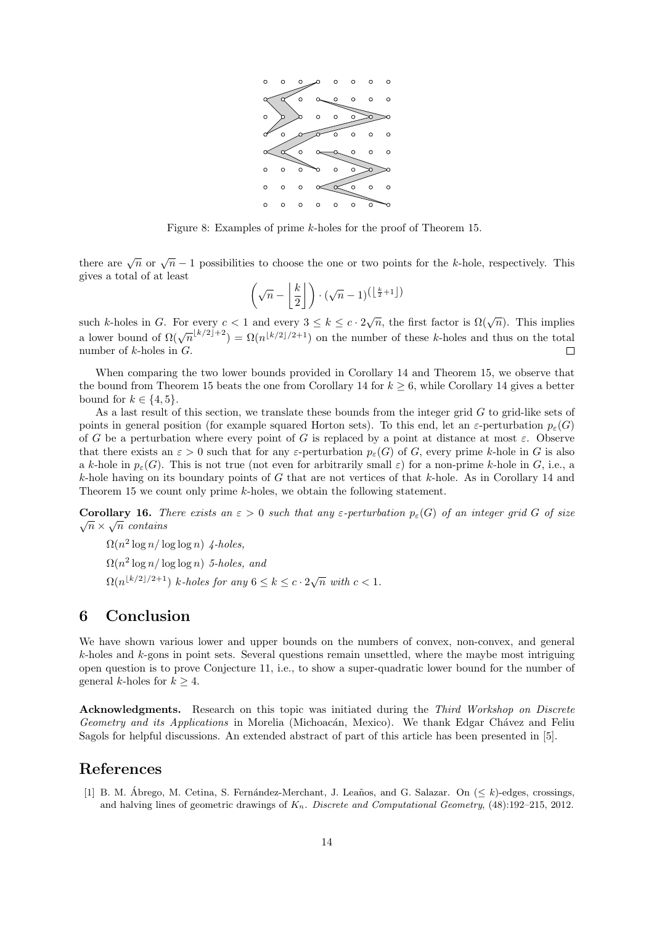

Figure 8: Examples of prime k-holes for the proof of Theorem 15.

there are  $\sqrt{n}$  or  $\sqrt{n}-1$  possibilities to choose the one or two points for the k-hole, respectively. This gives a total of at least

$$
\left(\sqrt{n} - \left\lfloor \frac{k}{2} \right\rfloor\right) \cdot (\sqrt{n} - 1)^{\left(\left\lfloor \frac{k}{2} + 1 \right\rfloor\right)}
$$

such k-holes in G. For every  $c < 1$  and every  $3 \le k \le c \cdot 2\sqrt{n}$ , the first factor is  $\Omega(\sqrt{n})$ . This implies a lower bound of  $\Omega(\sqrt{n}^{\lfloor k/2\rfloor+2}) = \Omega(n^{\lfloor k/2\rfloor+1})$  on the number of these k-holes and thus on the total number of  $k$ -holes in  $G$ .  $\Box$ 

When comparing the two lower bounds provided in Corollary 14 and Theorem 15, we observe that the bound from Theorem 15 beats the one from Corollary 14 for  $k \geq 6$ , while Corollary 14 gives a better bound for  $k \in \{4, 5\}.$ 

As a last result of this section, we translate these bounds from the integer grid  $G$  to grid-like sets of points in general position (for example squared Horton sets). To this end, let an  $\varepsilon$ -perturbation  $p_{\varepsilon}(G)$ of G be a perturbation where every point of G is replaced by a point at distance at most  $\varepsilon$ . Observe that there exists an  $\varepsilon > 0$  such that for any  $\varepsilon$ -perturbation  $p_{\varepsilon}(G)$  of G, every prime k-hole in G is also a k-hole in  $p_{\varepsilon}(G)$ . This is not true (not even for arbitrarily small  $\varepsilon$ ) for a non-prime k-hole in G, i.e., a k-hole having on its boundary points of G that are not vertices of that k-hole. As in Corollary 14 and Theorem 15 we count only prime k-holes, we obtain the following statement.

Corollary 16. There exists an  $\varepsilon > 0$  such that any  $\varepsilon$ -perturbation  $p_{\varepsilon}(G)$  of an integer grid G of size  $\sqrt{n} \times \sqrt{n}$  contains

 $\Omega(n^2 \log n / \log \log n)$  4-holes,  $\Omega(n^2 \log n / \log \log n)$  5-holes, and  $\Omega(n^{\lfloor k/2\rfloor/2+1})$  k-holes for any  $6 \leq k \leq c \cdot 2\sqrt{n}$  with  $c < 1$ .

### 6 Conclusion

We have shown various lower and upper bounds on the numbers of convex, non-convex, and general  $k$ -holes and  $k$ -gons in point sets. Several questions remain unsettled, where the maybe most intriguing open question is to prove Conjecture 11, i.e., to show a super-quadratic lower bound for the number of general k-holes for  $k > 4$ .

Acknowledgments. Research on this topic was initiated during the Third Workshop on Discrete Geometry and its Applications in Morelia (Michoacán, Mexico). We thank Edgar Chávez and Feliu Sagols for helpful discussions. An extended abstract of part of this article has been presented in [5].

## References

[1] B. M. Ábrego, M. Cetina, S. Fernández-Merchant, J. Leaños, and G. Salazar. On  $(< k)$ -edges, crossings, and halving lines of geometric drawings of  $K_n$ . Discrete and Computational Geometry, (48):192–215, 2012.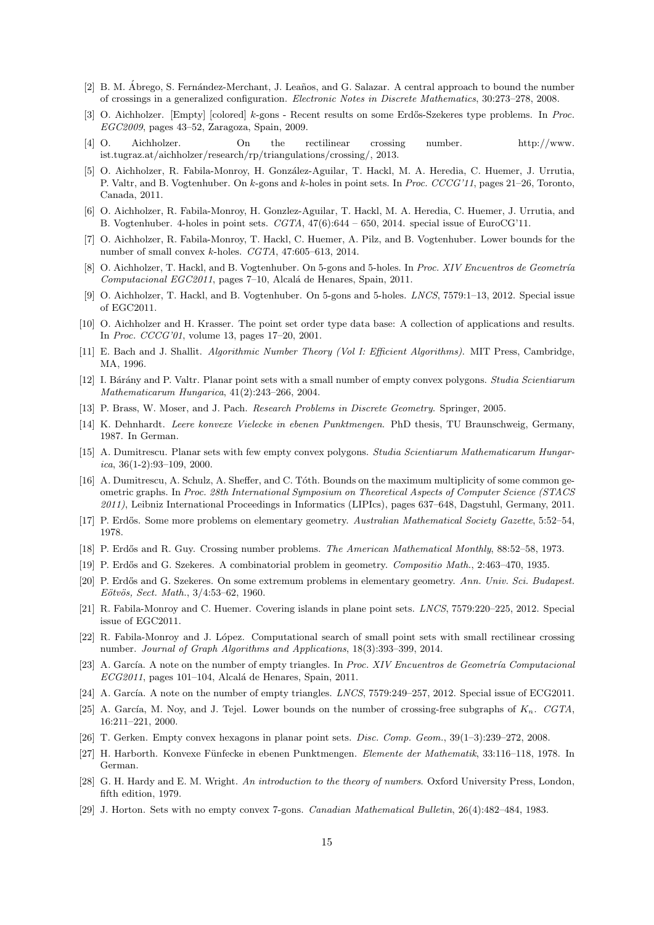- [2] B. M. Ábrego, S. Fernández-Merchant, J. Leaños, and G. Salazar. A central approach to bound the number of crossings in a generalized configuration. Electronic Notes in Discrete Mathematics, 30:273–278, 2008.
- [3] O. Aichholzer. [Empty] [colored] k-gons Recent results on some Erdős-Szekeres type problems. In Proc. EGC2009, pages 43–52, Zaragoza, Spain, 2009.
- [4] O. Aichholzer. On the rectilinear crossing number. http://www. ist.tugraz.at/aichholzer/research/rp/triangulations/crossing/, 2013.
- [5] O. Aichholzer, R. Fabila-Monroy, H. González-Aguilar, T. Hackl, M. A. Heredia, C. Huemer, J. Urrutia, P. Valtr, and B. Vogtenhuber. On k-gons and k-holes in point sets. In Proc. CCCG'11, pages 21–26, Toronto, Canada, 2011.
- [6] O. Aichholzer, R. Fabila-Monroy, H. Gonzlez-Aguilar, T. Hackl, M. A. Heredia, C. Huemer, J. Urrutia, and B. Vogtenhuber. 4-holes in point sets. CGTA, 47(6):644 – 650, 2014. special issue of EuroCG'11.
- [7] O. Aichholzer, R. Fabila-Monroy, T. Hackl, C. Huemer, A. Pilz, and B. Vogtenhuber. Lower bounds for the number of small convex k-holes. CGTA, 47:605–613, 2014.
- [8] O. Aichholzer, T. Hackl, and B. Vogtenhuber. On 5-gons and 5-holes. In Proc. XIV Encuentros de Geometría Computacional EGC2011, pages 7-10, Alcalá de Henares, Spain, 2011.
- [9] O. Aichholzer, T. Hackl, and B. Vogtenhuber. On 5-gons and 5-holes. LNCS, 7579:1–13, 2012. Special issue of EGC2011.
- [10] O. Aichholzer and H. Krasser. The point set order type data base: A collection of applications and results. In Proc. CCCG'01, volume 13, pages 17–20, 2001.
- [11] E. Bach and J. Shallit. Algorithmic Number Theory (Vol I: Efficient Algorithms). MIT Press, Cambridge, MA, 1996.
- [12] I. Bárány and P. Valtr. Planar point sets with a small number of empty convex polygons. Studia Scientiarum Mathematicarum Hungarica, 41(2):243–266, 2004.
- [13] P. Brass, W. Moser, and J. Pach. Research Problems in Discrete Geometry. Springer, 2005.
- [14] K. Dehnhardt. Leere konvexe Vielecke in ebenen Punktmengen. PhD thesis, TU Braunschweig, Germany, 1987. In German.
- [15] A. Dumitrescu. Planar sets with few empty convex polygons. Studia Scientiarum Mathematicarum Hungar $ica, 36(1-2):93-109, 2000.$
- [16] A. Dumitrescu, A. Schulz, A. Sheffer, and C. Tóth. Bounds on the maximum multiplicity of some common geometric graphs. In Proc. 28th International Symposium on Theoretical Aspects of Computer Science (STACS 2011), Leibniz International Proceedings in Informatics (LIPIcs), pages 637–648, Dagstuhl, Germany, 2011.
- [17] P. Erdős. Some more problems on elementary geometry. Australian Mathematical Society Gazette, 5:52–54, 1978.
- [18] P. Erdős and R. Guy. Crossing number problems. *The American Mathematical Monthly*, 88:52–58, 1973.
- [19] P. Erdős and G. Szekeres. A combinatorial problem in geometry. Compositio Math., 2:463-470, 1935.
- [20] P. Erdős and G. Szekeres. On some extremum problems in elementary geometry. Ann. Univ. Sci. Budapest. Eötvös, Sect. Math., 3/4:53-62, 1960.
- [21] R. Fabila-Monroy and C. Huemer. Covering islands in plane point sets. LNCS, 7579:220–225, 2012. Special issue of EGC2011.
- [22] R. Fabila-Monroy and J. López. Computational search of small point sets with small rectilinear crossing number. Journal of Graph Algorithms and Applications, 18(3):393–399, 2014.
- [23] A. García. A note on the number of empty triangles. In Proc. XIV Encuentros de Geometría Computacional  $ECG2011$ , pages 101–104, Alcalá de Henares, Spain, 2011.
- [24] A. García. A note on the number of empty triangles.  $LNCS$ , 7579:249–257, 2012. Special issue of ECG2011.
- [25] A. García, M. Noy, and J. Tejel. Lower bounds on the number of crossing-free subgraphs of  $K_n$ . CGTA, 16:211–221, 2000.
- [26] T. Gerken. Empty convex hexagons in planar point sets. Disc. Comp. Geom., 39(1–3):239–272, 2008.
- [27] H. Harborth. Konvexe Fünfecke in ebenen Punktmengen. Elemente der Mathematik, 33:116–118, 1978. In German.
- [28] G. H. Hardy and E. M. Wright. An introduction to the theory of numbers. Oxford University Press, London, fifth edition, 1979.
- [29] J. Horton. Sets with no empty convex 7-gons. Canadian Mathematical Bulletin, 26(4):482–484, 1983.